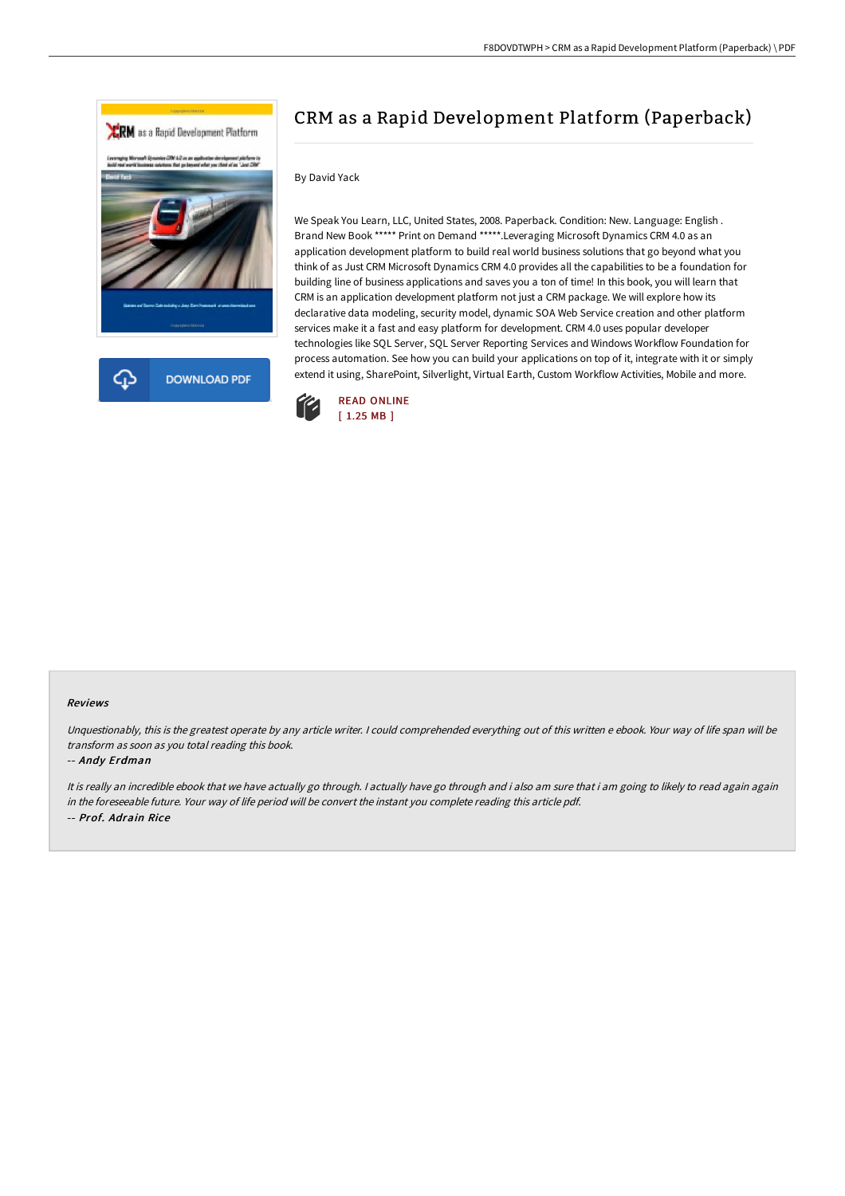

# CRM as a Rapid Development Platform (Paperback)

## By David Yack

We Speak You Learn, LLC, United States, 2008. Paperback. Condition: New. Language: English . Brand New Book \*\*\*\*\* Print on Demand \*\*\*\*\*.Leveraging Microsoft Dynamics CRM 4.0 as an application development platform to build real world business solutions that go beyond what you think of as Just CRM Microsoft Dynamics CRM 4.0 provides all the capabilities to be a foundation for building line of business applications and saves you a ton of time! In this book, you will learn that CRM is an application development platform not just a CRM package. We will explore how its declarative data modeling, security model, dynamic SOA Web Service creation and other platform services make it a fast and easy platform for development. CRM 4.0 uses popular developer technologies like SQL Server, SQL Server Reporting Services and Windows Workflow Foundation for process automation. See how you can build your applications on top of it, integrate with it or simply extend it using, SharePoint, Silverlight, Virtual Earth, Custom Workflow Activities, Mobile and more.



#### Reviews

Unquestionably, this is the greatest operate by any article writer. I could comprehended everything out of this written e ebook. Your way of life span will be transform as soon as you total reading this book.

#### -- Andy Erdman

It is really an incredible ebook that we have actually go through. I actually have go through and i also am sure that i am going to likely to read again again in the foreseeable future. Your way of life period will be convert the instant you complete reading this article pdf. -- Prof. Adrain Rice